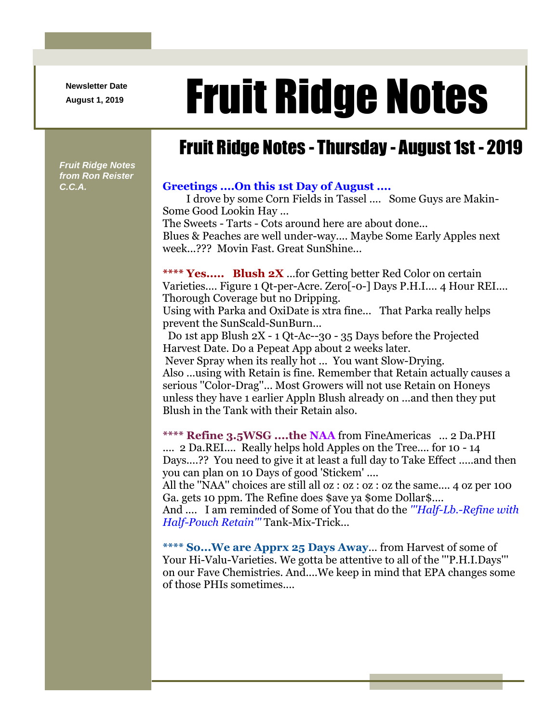**Newsletter Date**

## August 1, 2019 **Fruit Ridge Notes**

## Fruit Ridge Notes - Thursday - August 1st - 2019

*Fruit Ridge Notes from Ron Reister* 

## *C.C.A.* **Greetings ....On this 1st Day of August ....**

I drove by some Corn Fields in Tassel .... Some Guys are Makin-Some Good Lookin Hay ... The Sweets - Tarts - Cots around here are about done...

Blues & Peaches are well under-way.... Maybe Some Early Apples next week...??? Movin Fast. Great SunShine...

**\*\*\*\* Yes..... Blush 2X** ...for Getting better Red Color on certain Varieties.... Figure 1 Qt-per-Acre. Zero[-0-] Days P.H.I.... 4 Hour REI.... Thorough Coverage but no Dripping. Using with Parka and OxiDate is xtra fine... That Parka really helps prevent the SunScald-SunBurn...

Do 1st app Blush 2X - 1 Qt-Ac--30 - 35 Days before the Projected Harvest Date. Do a Pepeat App about 2 weeks later.

Never Spray when its really hot ... You want Slow-Drying. Also ...using with Retain is fine. Remember that Retain actually causes a serious ''Color-Drag''... Most Growers will not use Retain on Honeys unless they have 1 earlier Appln Blush already on ...and then they put Blush in the Tank with their Retain also.

**\*\*\*\* Refine 3.5WSG ....the NAA** from FineAmericas ... 2 Da.PHI .... 2 Da.REI.... Really helps hold Apples on the Tree.... for 10 - 14 Days....?? You need to give it at least a full day to Take Effect .....and then you can plan on 10 Days of good 'Stickem' ....

All the ''NAA'' choices are still all oz : oz : oz : oz the same.... 4 oz per 100 Ga. gets 10 ppm. The Refine does \$ave ya \$ome Dollar\$....

And .... I am reminded of Some of You that do the *'''Half-Lb.-Refine with Half-Pouch Retain'''* Tank-Mix-Trick...

**\*\*\*\* So...We are Apprx 25 Days Away**... from Harvest of some of Your Hi-Valu-Varieties. We gotta be attentive to all of the '''P.H.I.Days''' on our Fave Chemistries. And....We keep in mind that EPA changes some of those PHIs sometimes....